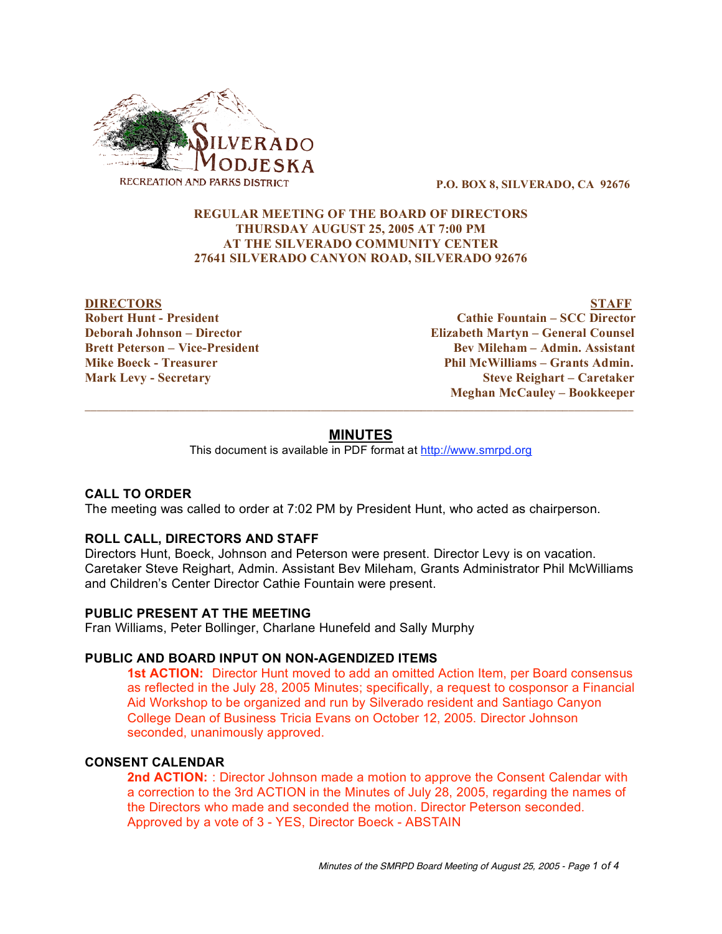

**P.O. BOX 8, SILVERADO, CA 92676**

# **REGULAR MEETING OF THE BOARD OF DIRECTORS THURSDAY AUGUST 25, 2005 AT 7:00 PM AT THE SILVERADO COMMUNITY CENTER 27641 SILVERADO CANYON ROAD, SILVERADO 92676**

**DIRECTORS STAFF Robert Hunt - President Cathie Fountain – SCC Director Deborah Johnson – Director Elizabeth Martyn – General Counsel Brett Peterson – Vice-President Bev Mileham – Admin. Assistant Mike Boeck - Treasurer Phil McWilliams – Grants Admin. Mark Levy - Secretary Steve Reighart – Caretaker Meghan McCauley – Bookkeeper**

# **MINUTES**

 $\overline{\phantom{a}}$  ,  $\overline{\phantom{a}}$  ,  $\overline{\phantom{a}}$  ,  $\overline{\phantom{a}}$  ,  $\overline{\phantom{a}}$  ,  $\overline{\phantom{a}}$  ,  $\overline{\phantom{a}}$  ,  $\overline{\phantom{a}}$  ,  $\overline{\phantom{a}}$  ,  $\overline{\phantom{a}}$  ,  $\overline{\phantom{a}}$  ,  $\overline{\phantom{a}}$  ,  $\overline{\phantom{a}}$  ,  $\overline{\phantom{a}}$  ,  $\overline{\phantom{a}}$  ,  $\overline{\phantom{a}}$ 

This document is available in PDF format at http://www.smrpd.org

### **CALL TO ORDER**

The meeting was called to order at 7:02 PM by President Hunt, who acted as chairperson.

### **ROLL CALL, DIRECTORS AND STAFF**

Directors Hunt, Boeck, Johnson and Peterson were present. Director Levy is on vacation. Caretaker Steve Reighart, Admin. Assistant Bev Mileham, Grants Administrator Phil McWilliams and Children's Center Director Cathie Fountain were present.

### **PUBLIC PRESENT AT THE MEETING**

Fran Williams, Peter Bollinger, Charlane Hunefeld and Sally Murphy

### **PUBLIC AND BOARD INPUT ON NON-AGENDIZED ITEMS**

**1st ACTION:** Director Hunt moved to add an omitted Action Item, per Board consensus as reflected in the July 28, 2005 Minutes; specifically, a request to cosponsor a Financial Aid Workshop to be organized and run by Silverado resident and Santiago Canyon College Dean of Business Tricia Evans on October 12, 2005. Director Johnson seconded, unanimously approved.

## **CONSENT CALENDAR**

**2nd ACTION:** : Director Johnson made a motion to approve the Consent Calendar with a correction to the 3rd ACTION in the Minutes of July 28, 2005, regarding the names of the Directors who made and seconded the motion. Director Peterson seconded. Approved by a vote of 3 - YES, Director Boeck - ABSTAIN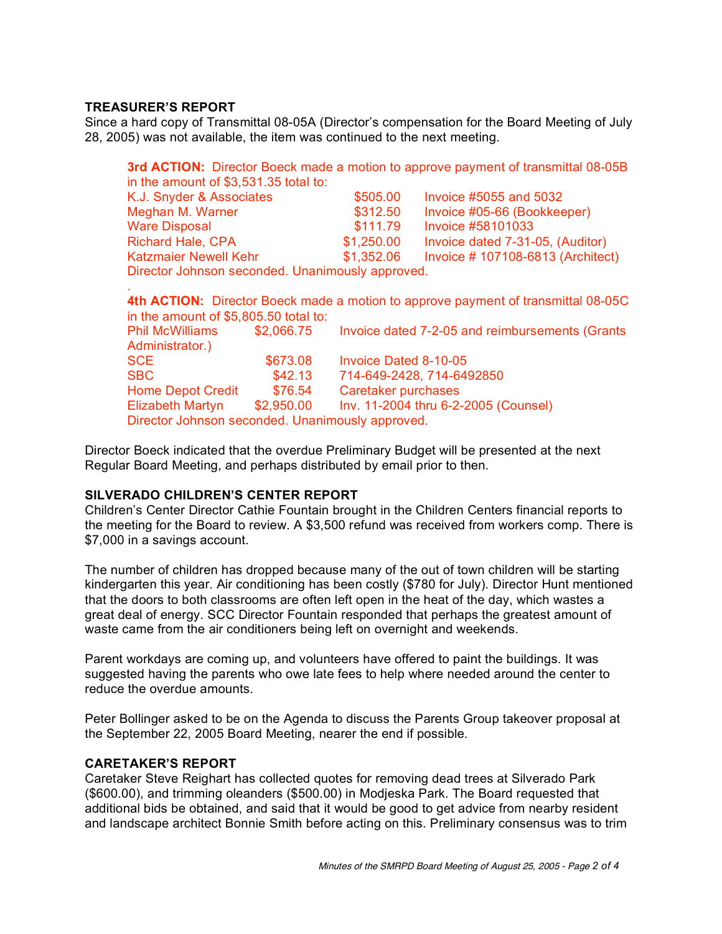# **TREASURER'S REPORT**

Since a hard copy of Transmittal 08-05A (Director's compensation for the Board Meeting of July 28, 2005) was not available, the item was continued to the next meeting.

|                                                  |            | <b>3rd ACTION:</b> Director Boeck made a motion to approve payment of transmittal 08-05B |
|--------------------------------------------------|------------|------------------------------------------------------------------------------------------|
| in the amount of \$3,531.35 total to:            |            |                                                                                          |
| K.J. Snyder & Associates                         | \$505.00   | Invoice #5055 and 5032                                                                   |
| Meghan M. Warner                                 | \$312.50   | Invoice #05-66 (Bookkeeper)                                                              |
| <b>Ware Disposal</b>                             | \$111.79   | Invoice #58101033                                                                        |
| <b>Richard Hale, CPA</b>                         | \$1,250.00 | Invoice dated 7-31-05, (Auditor)                                                         |
| <b>Katzmaier Newell Kehr</b>                     | \$1,352.06 | Invoice # 107108-6813 (Architect)                                                        |
| Director Johnson seconded. Unanimously approved. |            |                                                                                          |
|                                                  |            |                                                                                          |

|                                                  |            | 4th ACTION: Director Boeck made a motion to approve payment of transmittal 08-05C |
|--------------------------------------------------|------------|-----------------------------------------------------------------------------------|
| in the amount of \$5,805.50 total to:            |            |                                                                                   |
| <b>Phil McWilliams</b>                           | \$2,066.75 | Invoice dated 7-2-05 and reimbursements (Grants                                   |
| Administrator.)                                  |            |                                                                                   |
| <b>SCE</b>                                       | \$673.08   | <b>Invoice Dated 8-10-05</b>                                                      |
| <b>SBC</b>                                       | \$42.13    | 714-649-2428, 714-6492850                                                         |
| <b>Home Depot Credit</b>                         | \$76.54    | Caretaker purchases                                                               |
| <b>Elizabeth Martyn</b>                          | \$2,950.00 | Inv. 11-2004 thru 6-2-2005 (Counsel)                                              |
| Director Johnson seconded. Unanimously approved. |            |                                                                                   |
|                                                  |            |                                                                                   |

Director Boeck indicated that the overdue Preliminary Budget will be presented at the next Regular Board Meeting, and perhaps distributed by email prior to then.

### **SILVERADO CHILDREN'S CENTER REPORT**

Children's Center Director Cathie Fountain brought in the Children Centers financial reports to the meeting for the Board to review. A \$3,500 refund was received from workers comp. There is \$7,000 in a savings account.

The number of children has dropped because many of the out of town children will be starting kindergarten this year. Air conditioning has been costly (\$780 for July). Director Hunt mentioned that the doors to both classrooms are often left open in the heat of the day, which wastes a great deal of energy. SCC Director Fountain responded that perhaps the greatest amount of waste came from the air conditioners being left on overnight and weekends.

Parent workdays are coming up, and volunteers have offered to paint the buildings. It was suggested having the parents who owe late fees to help where needed around the center to reduce the overdue amounts.

Peter Bollinger asked to be on the Agenda to discuss the Parents Group takeover proposal at the September 22, 2005 Board Meeting, nearer the end if possible.

### **CARETAKER'S REPORT**

Caretaker Steve Reighart has collected quotes for removing dead trees at Silverado Park (\$600.00), and trimming oleanders (\$500.00) in Modjeska Park. The Board requested that additional bids be obtained, and said that it would be good to get advice from nearby resident and landscape architect Bonnie Smith before acting on this. Preliminary consensus was to trim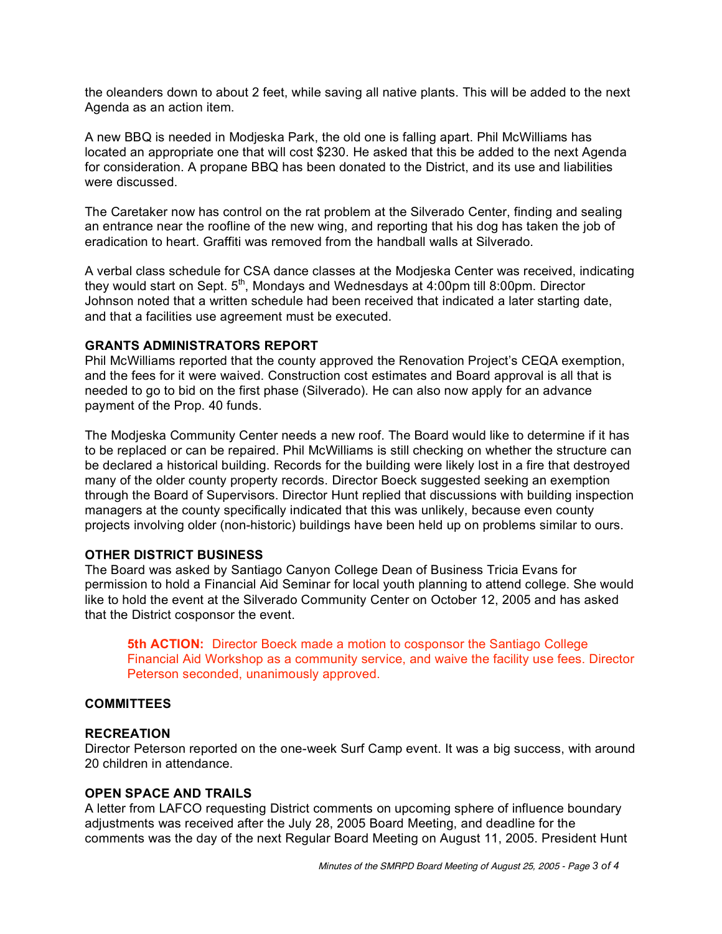the oleanders down to about 2 feet, while saving all native plants. This will be added to the next Agenda as an action item.

A new BBQ is needed in Modjeska Park, the old one is falling apart. Phil McWilliams has located an appropriate one that will cost \$230. He asked that this be added to the next Agenda for consideration. A propane BBQ has been donated to the District, and its use and liabilities were discussed.

The Caretaker now has control on the rat problem at the Silverado Center, finding and sealing an entrance near the roofline of the new wing, and reporting that his dog has taken the job of eradication to heart. Graffiti was removed from the handball walls at Silverado.

A verbal class schedule for CSA dance classes at the Modjeska Center was received, indicating they would start on Sept. 5<sup>th</sup>, Mondays and Wednesdays at 4:00pm till 8:00pm. Director Johnson noted that a written schedule had been received that indicated a later starting date, and that a facilities use agreement must be executed.

# **GRANTS ADMINISTRATORS REPORT**

Phil McWilliams reported that the county approved the Renovation Project's CEQA exemption, and the fees for it were waived. Construction cost estimates and Board approval is all that is needed to go to bid on the first phase (Silverado). He can also now apply for an advance payment of the Prop. 40 funds.

The Modjeska Community Center needs a new roof. The Board would like to determine if it has to be replaced or can be repaired. Phil McWilliams is still checking on whether the structure can be declared a historical building. Records for the building were likely lost in a fire that destroyed many of the older county property records. Director Boeck suggested seeking an exemption through the Board of Supervisors. Director Hunt replied that discussions with building inspection managers at the county specifically indicated that this was unlikely, because even county projects involving older (non-historic) buildings have been held up on problems similar to ours.

# **OTHER DISTRICT BUSINESS**

The Board was asked by Santiago Canyon College Dean of Business Tricia Evans for permission to hold a Financial Aid Seminar for local youth planning to attend college. She would like to hold the event at the Silverado Community Center on October 12, 2005 and has asked that the District cosponsor the event.

**5th ACTION:** Director Boeck made a motion to cosponsor the Santiago College Financial Aid Workshop as a community service, and waive the facility use fees. Director Peterson seconded, unanimously approved.

### **COMMITTEES**

### **RECREATION**

Director Peterson reported on the one-week Surf Camp event. It was a big success, with around 20 children in attendance.

# **OPEN SPACE AND TRAILS**

A letter from LAFCO requesting District comments on upcoming sphere of influence boundary adjustments was received after the July 28, 2005 Board Meeting, and deadline for the comments was the day of the next Regular Board Meeting on August 11, 2005. President Hunt